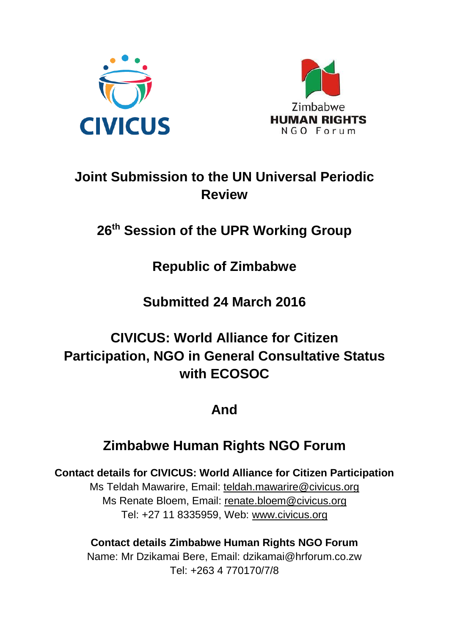



# **Joint Submission to the UN Universal Periodic Review**

# **26th Session of the UPR Working Group**

# **Republic of Zimbabwe**

# **Submitted 24 March 2016**

# **CIVICUS: World Alliance for Citizen Participation, NGO in General Consultative Status with ECOSOC**

# **And**

# **Zimbabwe Human Rights NGO Forum**

### **Contact details for CIVICUS: World Alliance for Citizen Participation**

Ms Teldah Mawarire, Email: [teldah.mawarire@civicus.org](mailto:teldah.mawarire@civicus.org) Ms Renate Bloem, Email: [renate.bloem@civicus.org](mailto:renate.bloem@civicus.org) Tel: +27 11 8335959, Web: [www.civicus.org](http://www.civicus.org/)

### **Contact details Zimbabwe Human Rights NGO Forum**

Name: Mr Dzikamai Bere, Email: dzikamai@hrforum.co.zw Tel: +263 4 770170/7/8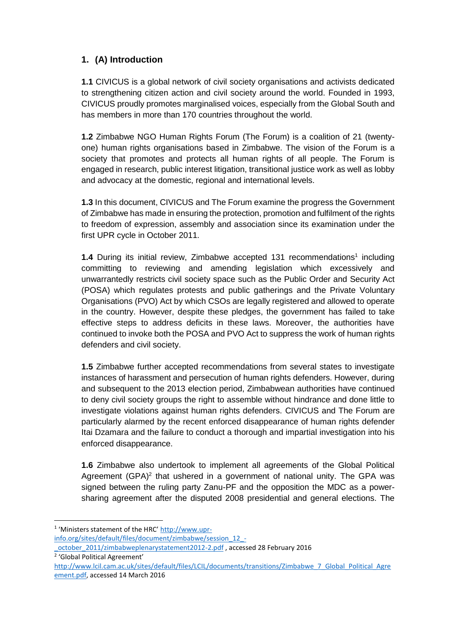### **1. (A) Introduction**

**1.1** CIVICUS is a global network of civil society organisations and activists dedicated to strengthening citizen action and civil society around the world. Founded in 1993, CIVICUS proudly promotes marginalised voices, especially from the Global South and has members in more than 170 countries throughout the world.

**1.2** Zimbabwe NGO Human Rights Forum (The Forum) is a coalition of 21 (twentyone) human rights organisations based in Zimbabwe. The vision of the Forum is a society that promotes and protects all human rights of all people. The Forum is engaged in research, public interest litigation, transitional justice work as well as lobby and advocacy at the domestic, regional and international levels.

**1.3** In this document, CIVICUS and The Forum examine the progress the Government of Zimbabwe has made in ensuring the protection, promotion and fulfilment of the rights to freedom of expression, assembly and association since its examination under the first UPR cycle in October 2011.

**1.4** During its initial review, Zimbabwe accepted 131 recommendations<sup>1</sup> including committing to reviewing and amending legislation which excessively and unwarrantedly restricts civil society space such as the Public Order and Security Act (POSA) which regulates protests and public gatherings and the Private Voluntary Organisations (PVO) Act by which CSOs are legally registered and allowed to operate in the country. However, despite these pledges, the government has failed to take effective steps to address deficits in these laws. Moreover, the authorities have continued to invoke both the POSA and PVO Act to suppress the work of human rights defenders and civil society.

**1.5** Zimbabwe further accepted recommendations from several states to investigate instances of harassment and persecution of human rights defenders. However, during and subsequent to the 2013 election period, Zimbabwean authorities have continued to deny civil society groups the right to assemble without hindrance and done little to investigate violations against human rights defenders. CIVICUS and The Forum are particularly alarmed by the recent enforced disappearance of human rights defender Itai Dzamara and the failure to conduct a thorough and impartial investigation into his enforced disappearance.

**1.6** Zimbabwe also undertook to implement all agreements of the Global Political Agreement (GPA)<sup>2</sup> that ushered in a government of national unity. The GPA was signed between the ruling party Zanu-PF and the opposition the MDC as a powersharing agreement after the disputed 2008 presidential and general elections. The

**.** 

[info.org/sites/default/files/document/zimbabwe/session\\_12\\_-](http://www.upr-info.org/sites/default/files/document/zimbabwe/session_12_-_october_2011/zimbabweplenarystatement2012-2.pdf)

- [\\_october\\_2011/zimbabweplenarystatement2012-2.pdf](http://www.upr-info.org/sites/default/files/document/zimbabwe/session_12_-_october_2011/zimbabweplenarystatement2012-2.pdf) , accessed 28 February 2016 2 'Global Political Agreement'
- [http://www.lcil.cam.ac.uk/sites/default/files/LCIL/documents/transitions/Zimbabwe\\_7\\_Global\\_Political\\_Agre](http://www.lcil.cam.ac.uk/sites/default/files/LCIL/documents/transitions/Zimbabwe_7_Global_Political_Agreement.pdf) [ement.pdf,](http://www.lcil.cam.ac.uk/sites/default/files/LCIL/documents/transitions/Zimbabwe_7_Global_Political_Agreement.pdf) accessed 14 March 2016

<sup>&</sup>lt;sup>1</sup> 'Ministers statement of the HRC' [http://www.upr-](http://www.upr-info.org/sites/default/files/document/zimbabwe/session_12_-_october_2011/zimbabweplenarystatement2012-2.pdf)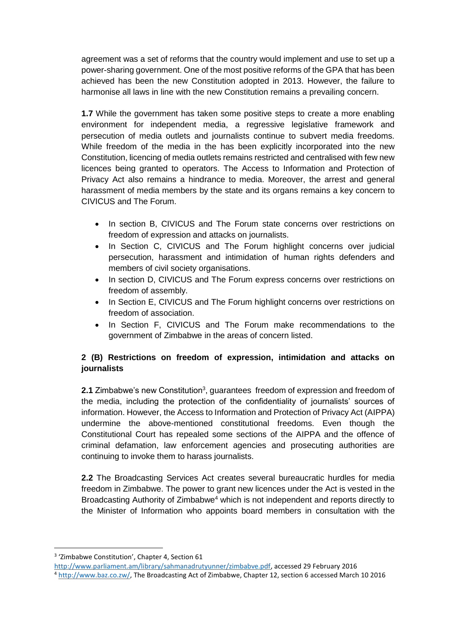agreement was a set of reforms that the country would implement and use to set up a power-sharing government. One of the most positive reforms of the GPA that has been achieved has been the new Constitution adopted in 2013. However, the failure to harmonise all laws in line with the new Constitution remains a prevailing concern.

**1.7** While the government has taken some positive steps to create a more enabling environment for independent media, a regressive legislative framework and persecution of media outlets and journalists continue to subvert media freedoms. While freedom of the media in the has been explicitly incorporated into the new Constitution, licencing of media outlets remains restricted and centralised with few new licences being granted to operators. The Access to Information and Protection of Privacy Act also remains a hindrance to media. Moreover, the arrest and general harassment of media members by the state and its organs remains a key concern to CIVICUS and The Forum.

- In section B, CIVICUS and The Forum state concerns over restrictions on freedom of expression and attacks on journalists.
- In Section C, CIVICUS and The Forum highlight concerns over judicial persecution, harassment and intimidation of human rights defenders and members of civil society organisations.
- In section D, CIVICUS and The Forum express concerns over restrictions on freedom of assembly.
- In Section E, CIVICUS and The Forum highlight concerns over restrictions on freedom of association.
- In Section F, CIVICUS and The Forum make recommendations to the government of Zimbabwe in the areas of concern listed.

### **2 (B) Restrictions on freedom of expression, intimidation and attacks on journalists**

2.1 Zimbabwe's new Constitution<sup>3</sup>, guarantees freedom of expression and freedom of the media, including the protection of the confidentiality of journalists' sources of information. However, the Access to Information and Protection of Privacy Act (AIPPA) undermine the above-mentioned constitutional freedoms. Even though the Constitutional Court has repealed some sections of the AIPPA and the offence of criminal defamation, law enforcement agencies and prosecuting authorities are continuing to invoke them to harass journalists.

**2.2** The Broadcasting Services Act creates several bureaucratic hurdles for media freedom in Zimbabwe. The power to grant new licences under the Act is vested in the Broadcasting Authority of Zimbabwe<sup>4</sup> which is not independent and reports directly to the Minister of Information who appoints board members in consultation with the

**.** 

<sup>&</sup>lt;sup>3</sup> 'Zimbabwe Constitution', Chapter 4, Section 61

[http://www.parliament.am/library/sahmanadrutyunner/zimbabve.pdf,](http://www.parliament.am/library/sahmanadrutyunner/zimbabve.pdf) accessed 29 February 2016 <sup>4</sup> [http://www.baz.co.zw/,](http://www.baz.co.zw/) The Broadcasting Act of Zimbabwe, Chapter 12, section 6 accessed March 10 2016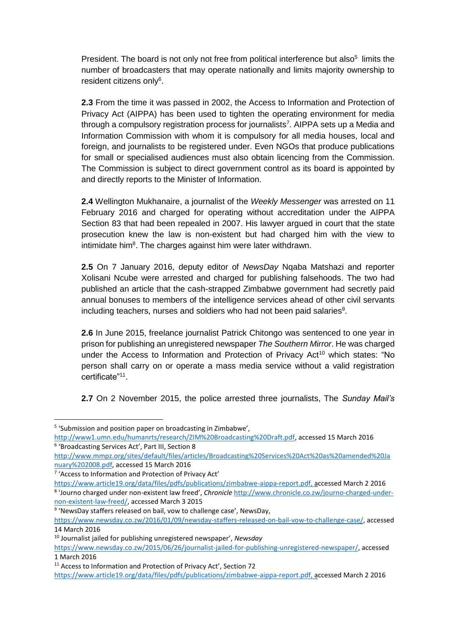President. The board is not only not free from political interference but also<sup>5</sup> limits the number of broadcasters that may operate nationally and limits majority ownership to resident citizens only<sup>6</sup>.

**2.3** From the time it was passed in 2002, the Access to Information and Protection of Privacy Act (AIPPA) has been used to tighten the operating environment for media through a compulsory registration process for journalists<sup>7</sup>. AIPPA sets up a Media and Information Commission with whom it is compulsory for all media houses, local and foreign, and journalists to be registered under. Even NGOs that produce publications for small or specialised audiences must also obtain licencing from the Commission. The Commission is subject to direct government control as its board is appointed by and directly reports to the Minister of Information.

**2.4** Wellington Mukhanaire, a journalist of the *Weekly Messenger* was arrested on 11 February 2016 and charged for operating without accreditation under the AIPPA Section 83 that had been repealed in 2007. His lawyer argued in court that the state prosecution knew the law is non-existent but had charged him with the view to intimidate him<sup>8</sup>. The charges against him were later withdrawn.

**2.5** On 7 January 2016, deputy editor of *NewsDay* Nqaba Matshazi and reporter Xolisani Ncube were arrested and charged for publishing falsehoods. The two had published an article that the cash-strapped Zimbabwe government had secretly paid annual bonuses to members of the intelligence services ahead of other civil servants including teachers, nurses and soldiers who had not been paid salaries $9$ .

**2.6** In June 2015, freelance journalist Patrick Chitongo was sentenced to one year in prison for publishing an unregistered newspaper *The Southern Mirror*. He was charged under the Access to Information and Protection of Privacy Act<sup>10</sup> which states: "No person shall carry on or operate a mass media service without a valid registration certificate"<sup>11</sup> .

**2.7** On 2 November 2015, the police arrested three journalists, The *Sunday Mail's*

**.** 

<sup>9</sup> 'NewsDay staffers released on bail, vow to challenge case', NewsDay,

<sup>&</sup>lt;sup>5</sup> 'Submission and position paper on broadcasting in Zimbabwe',

[http://www1.umn.edu/humanrts/research/ZIM%20Broadcasting%20Draft.pdf,](http://www1.umn.edu/humanrts/research/ZIM%20Broadcasting%20Draft.pdf) accessed 15 March 2016 6 'Broadcasting Services Act', Part III, Section 8

[http://www.mmpz.org/sites/default/files/articles/Broadcasting%20Services%20Act%20as%20amended%20Ja](http://www.mmpz.org/sites/default/files/articles/Broadcasting%20Services%20Act%20as%20amended%20January%202008.pdf) [nuary%202008.pdf,](http://www.mmpz.org/sites/default/files/articles/Broadcasting%20Services%20Act%20as%20amended%20January%202008.pdf) accessed 15 March 2016

<sup>7</sup> 'Access to Information and Protection of Privacy Act'

[https://www.article19.org/data/files/pdfs/publications/zimbabwe-aippa-report.pdf,](https://www.article19.org/data/files/pdfs/publications/zimbabwe-aippa-report.pdf) accessed March 2 2016 8 'Journo charged under non-existent law freed', *Chronicle* [http://www.chronicle.co.zw/journo-charged-under](http://www.chronicle.co.zw/journo-charged-under-non-existent-law-freed/)[non-existent-law-freed/,](http://www.chronicle.co.zw/journo-charged-under-non-existent-law-freed/) accessed March 3 2015

[https://www.newsday.co.zw/2016/01/09/newsday-staffers-released-on-bail-vow-to-challenge-case/,](https://www.newsday.co.zw/2016/01/09/newsday-staffers-released-on-bail-vow-to-challenge-case/) accessed 14 March 2016

<sup>10</sup> Journalist jailed for publishing unregistered newspaper', *Newsday*

[https://www.newsday.co.zw/2015/06/26/journalist-jailed-for-publishing-unregistered-newspaper/,](https://www.newsday.co.zw/2015/06/26/journalist-jailed-for-publishing-unregistered-newspaper/) accessed 1 March 2016

<sup>&</sup>lt;sup>11</sup> Access to Information and Protection of Privacy Act', Section 72

[https://www.article19.org/data/files/pdfs/publications/zimbabwe-aippa-report.pdf,](https://www.article19.org/data/files/pdfs/publications/zimbabwe-aippa-report.pdf) accessed March 2 2016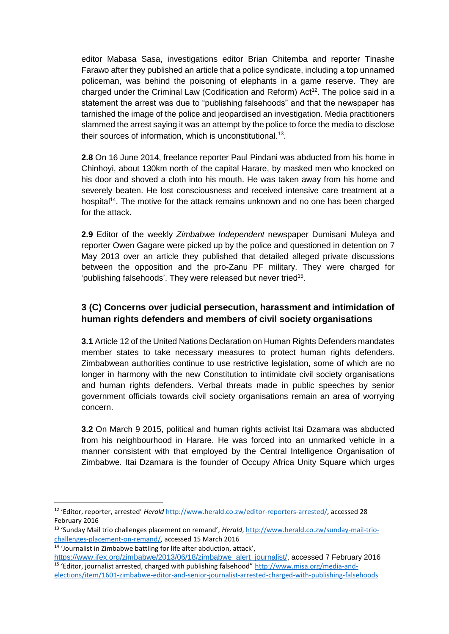editor Mabasa Sasa, investigations editor Brian Chitemba and reporter Tinashe Farawo after they published an article that a police syndicate, including a top unnamed policeman, was behind the poisoning of elephants in a game reserve. They are charged under the Criminal Law (Codification and Reform)  $Act^{12}$ . The police said in a statement the arrest was due to "publishing falsehoods" and that the newspaper has tarnished the image of the police and jeopardised an investigation. Media practitioners slammed the arrest saying it was an attempt by the police to force the media to disclose their sources of information, which is unconstitutional.<sup>13</sup>.

**2.8** On 16 June 2014, freelance reporter Paul Pindani was abducted from his home in Chinhoyi, about 130km north of the capital Harare, by masked men who knocked on his door and shoved a cloth into his mouth. He was taken away from his home and severely beaten. He lost consciousness and received intensive care treatment at a hospital<sup>14</sup>. The motive for the attack remains unknown and no one has been charged for the attack.

**2.9** Editor of the weekly *Zimbabwe Independent* newspaper Dumisani Muleya and reporter Owen Gagare were picked up by the police and questioned in detention on 7 May 2013 over an article they published that detailed alleged private discussions between the opposition and the pro-Zanu PF military. They were charged for 'publishing falsehoods'. They were released but never tried<sup>15</sup>.

### **3 (C) Concerns over judicial persecution, harassment and intimidation of human rights defenders and members of civil society organisations**

**3.1** Article 12 of the United Nations Declaration on Human Rights Defenders mandates member states to take necessary measures to protect human rights defenders. Zimbabwean authorities continue to use restrictive legislation, some of which are no longer in harmony with the new Constitution to intimidate civil society organisations and human rights defenders. Verbal threats made in public speeches by senior government officials towards civil society organisations remain an area of worrying concern.

**3.2** On March 9 2015, political and human rights activist Itai Dzamara was abducted from his neighbourhood in Harare. He was forced into an unmarked vehicle in a manner consistent with that employed by the Central Intelligence Organisation of Zimbabwe. Itai Dzamara is the founder of Occupy Africa Unity Square which urges

**<sup>.</sup>** <sup>12</sup> 'Editor, reporter, arrested' *Herald* [http://www.herald.co.zw/editor-reporters-arrested/,](http://www.herald.co.zw/editor-reporters-arrested/) accessed 28 February 2016

<sup>13</sup> 'Sunday Mail trio challenges placement on remand', *Herald*, [http://www.herald.co.zw/sunday-mail-trio](http://www.herald.co.zw/sunday-mail-trio-challenges-placement-on-remand/)[challenges-placement-on-remand/,](http://www.herald.co.zw/sunday-mail-trio-challenges-placement-on-remand/) accessed 15 March 2016

<sup>14</sup> 'Journalist in Zimbabwe battling for life after abduction, attack',

[https://www.ifex.org/zimbabwe/2013/06/18/zimbabwe\\_alert\\_journalist/,](https://www.ifex.org/zimbabwe/2013/06/18/zimbabwe_alert_journalist/) accessed 7 February 2016 <sup>15</sup> 'Editor, journalist arrested, charged with publishing falsehood" [http://www.misa.org/media-and-](http://www.misa.org/media-and-elections/item/1601-zimbabwe-editor-and-senior-journalist-arrested-charged-with-publishing-falsehoods)

[elections/item/1601-zimbabwe-editor-and-senior-journalist-arrested-charged-with-publishing-falsehoods](http://www.misa.org/media-and-elections/item/1601-zimbabwe-editor-and-senior-journalist-arrested-charged-with-publishing-falsehoods)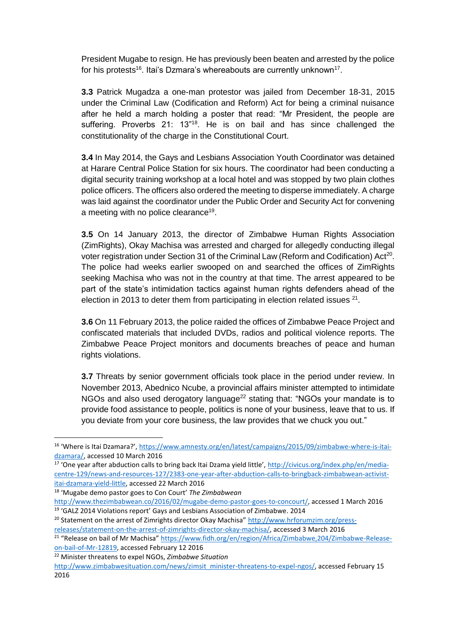President Mugabe to resign. He has previously been beaten and arrested by the police for his protests<sup>16</sup>. Itai's Dzmara's whereabouts are currently unknown<sup>17</sup>.

**3.3** Patrick Mugadza a one-man protestor was jailed from December 18-31, 2015 under the Criminal Law (Codification and Reform) Act for being a criminal nuisance after he held a march holding a poster that read: "Mr President, the people are suffering. Proverbs 21: 13"<sup>18</sup>. He is on bail and has since challenged the constitutionality of the charge in the Constitutional Court.

**3.4** In May 2014, the Gays and Lesbians Association Youth Coordinator was detained at Harare Central Police Station for six hours. The coordinator had been conducting a digital security training workshop at a local hotel and was stopped by two plain clothes police officers. The officers also ordered the meeting to disperse immediately. A charge was laid against the coordinator under the Public Order and Security Act for convening a meeting with no police clearance<sup>19</sup>.

**3.5** On 14 January 2013, the director of Zimbabwe Human Rights Association (ZimRights), Okay Machisa was arrested and charged for allegedly conducting illegal voter registration under Section 31 of the Criminal Law (Reform and Codification) Act<sup>20</sup>. The police had weeks earlier swooped on and searched the offices of ZimRights seeking Machisa who was not in the country at that time. The arrest appeared to be part of the state's intimidation tactics against human rights defenders ahead of the election in 2013 to deter them from participating in election related issues  $21$ .

**3.6** On 11 February 2013, the police raided the offices of Zimbabwe Peace Project and confiscated materials that included DVDs, radios and political violence reports. The Zimbabwe Peace Project monitors and documents breaches of peace and human rights violations.

**3.7** Threats by senior government officials took place in the period under review. In November 2013, Abednico Ncube, a provincial affairs minister attempted to intimidate NGOs and also used derogatory language<sup>22</sup> stating that: "NGOs your mandate is to provide food assistance to people, politics is none of your business, leave that to us. If you deviate from your core business, the law provides that we chuck you out."

[on-bail-of-Mr-12819,](https://www.fidh.org/en/region/Africa/Zimbabwe,204/Zimbabwe-Release-on-bail-of-Mr-12819) accessed February 12 2016

**.** 

<sup>16</sup> 'Where is Itai Dzamara?', [https://www.amnesty.org/en/latest/campaigns/2015/09/zimbabwe-where-is-itai](https://www.amnesty.org/en/latest/campaigns/2015/09/zimbabwe-where-is-itai-dzamara/)[dzamara/,](https://www.amnesty.org/en/latest/campaigns/2015/09/zimbabwe-where-is-itai-dzamara/) accessed 10 March 2016

<sup>&</sup>lt;sup>17</sup> 'One year after abduction calls to bring back Itai Dzama yield little', [http://civicus.org/index.php/en/media](http://civicus.org/index.php/en/media-centre-129/news-and-resources-127/2383-one-year-after-abduction-calls-to-bringback-zimbabwean-activist-itai-dzamara-yield-little)[centre-129/news-and-resources-127/2383-one-year-after-abduction-calls-to-bringback-zimbabwean-activist](http://civicus.org/index.php/en/media-centre-129/news-and-resources-127/2383-one-year-after-abduction-calls-to-bringback-zimbabwean-activist-itai-dzamara-yield-little)[itai-dzamara-yield-little,](http://civicus.org/index.php/en/media-centre-129/news-and-resources-127/2383-one-year-after-abduction-calls-to-bringback-zimbabwean-activist-itai-dzamara-yield-little) accessed 22 March 2016

<sup>18</sup> 'Mugabe demo pastor goes to Con Court' *The Zimbabwean*

[http://www.thezimbabwean.co/2016/02/mugabe-demo-pastor-goes-to-concourt/,](http://www.thezimbabwean.co/2016/02/mugabe-demo-pastor-goes-to-concourt/) accessed 1 March 2016 <sup>19</sup> 'GALZ 2014 Violations report' Gays and Lesbians Association of Zimbabwe. 2014

<sup>&</sup>lt;sup>20</sup> Statement on the arrest of Zimrights director Okay Machisa" [http://www.hrforumzim.org/press](http://www.hrforumzim.org/press-releases/statement-on-the-arrest-of-zimrights-director-okay-machisa/)[releases/statement-on-the-arrest-of-zimrights-director-okay-machisa/,](http://www.hrforumzim.org/press-releases/statement-on-the-arrest-of-zimrights-director-okay-machisa/) accessed 3 March 2016

<sup>&</sup>lt;sup>21</sup> "Release on bail of Mr Machisa" [https://www.fidh.org/en/region/Africa/Zimbabwe,204/Zimbabwe-Release-](https://www.fidh.org/en/region/Africa/Zimbabwe,204/Zimbabwe-Release-on-bail-of-Mr-12819)

<sup>22</sup> Minister threatens to expel NGOs, *Zimbabwe Situation*

[http://www.zimbabwesituation.com/news/zimsit\\_minister-threatens-to-expel-ngos/,](http://www.zimbabwesituation.com/news/zimsit_minister-threatens-to-expel-ngos/) accessed February 15 2016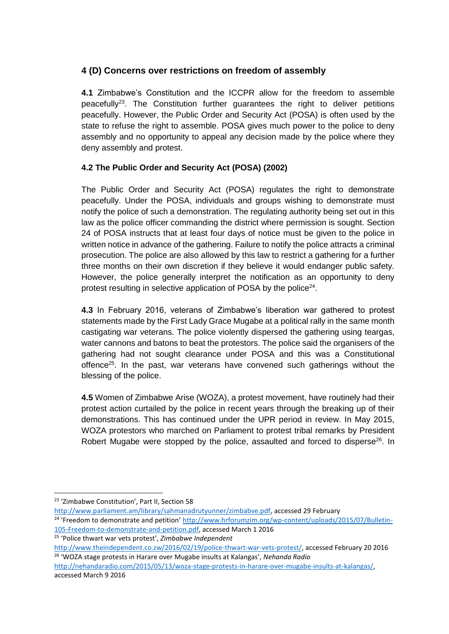### **4 (D) Concerns over restrictions on freedom of assembly**

**4.1** Zimbabwe's Constitution and the ICCPR allow for the freedom to assemble peacefully<sup>23</sup>. The Constitution further quarantees the right to deliver petitions peacefully. However, the Public Order and Security Act (POSA) is often used by the state to refuse the right to assemble. POSA gives much power to the police to deny assembly and no opportunity to appeal any decision made by the police where they deny assembly and protest.

### **4.2 The Public Order and Security Act (POSA) (2002)**

The Public Order and Security Act (POSA) regulates the right to demonstrate peacefully. Under the POSA, individuals and groups wishing to demonstrate must notify the police of such a demonstration. The regulating authority being set out in this law as the police officer commanding the district where permission is sought. Section 24 of POSA instructs that at least four days of notice must be given to the police in written notice in advance of the gathering. Failure to notify the police attracts a criminal prosecution. The police are also allowed by this law to restrict a gathering for a further three months on their own discretion if they believe it would endanger public safety. However, the police generally interpret the notification as an opportunity to deny protest resulting in selective application of POSA by the police $24$ .

**4.3** In February 2016, veterans of Zimbabwe's liberation war gathered to protest statements made by the First Lady Grace Mugabe at a political rally in the same month castigating war veterans. The police violently dispersed the gathering using teargas, water cannons and batons to beat the protestors. The police said the organisers of the gathering had not sought clearance under POSA and this was a Constitutional offence<sup>25</sup>. In the past, war veterans have convened such gatherings without the blessing of the police.

**4.5** Women of Zimbabwe Arise (WOZA), a protest movement, have routinely had their protest action curtailed by the police in recent years through the breaking up of their demonstrations. This has continued under the UPR period in review. In May 2015, WOZA protestors who marched on Parliament to protest tribal remarks by President Robert Mugabe were stopped by the police, assaulted and forced to disperse<sup>26</sup>. In

**.** 

<sup>25</sup> 'Police thwart war vets protest', *Zimbabwe Independent*

<sup>&</sup>lt;sup>23</sup> 'Zimbabwe Constitution', Part II, Section 58

[http://www.parliament.am/library/sahmanadrutyunner/zimbabve.pdf,](http://www.parliament.am/library/sahmanadrutyunner/zimbabve.pdf) accessed 29 February

<sup>&</sup>lt;sup>24</sup> 'Freedom to demonstrate and petition' [http://www.hrforumzim.org/wp-content/uploads/2015/07/Bulletin-](http://www.hrforumzim.org/wp-content/uploads/2015/07/Bulletin-105-Freedom-to-demonstrate-and-petition.pdf)[105-Freedom-to-demonstrate-and-petition.pdf,](http://www.hrforumzim.org/wp-content/uploads/2015/07/Bulletin-105-Freedom-to-demonstrate-and-petition.pdf) accessed March 1 2016

[http://www.theindependent.co.zw/2016/02/19/police-thwart-war-vets-protest/,](http://www.theindependent.co.zw/2016/02/19/police-thwart-war-vets-protest/) accessed February 20 2016 <sup>26</sup> 'WOZA stage protests in Harare over Mugabe insults at Kalangas', *Nehanda Radio*

[http://nehandaradio.com/2015/05/13/woza-stage-protests-in-harare-over-mugabe-insults-at-kalangas/,](http://nehandaradio.com/2015/05/13/woza-stage-protests-in-harare-over-mugabe-insults-at-kalangas/) accessed March 9 2016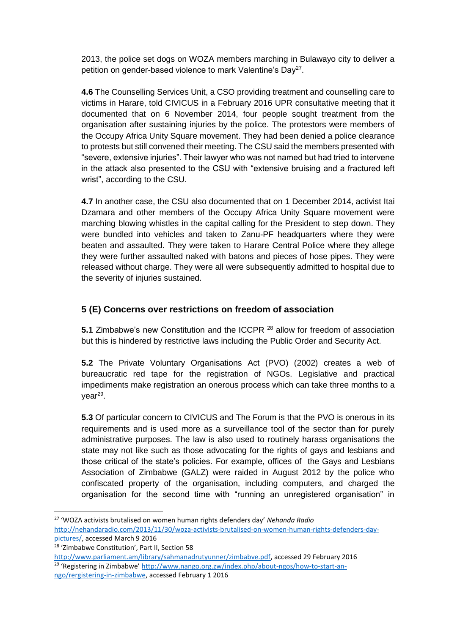2013, the police set dogs on WOZA members marching in Bulawayo city to deliver a petition on gender-based violence to mark Valentine's Day<sup>27</sup>.

**4.6** The Counselling Services Unit, a CSO providing treatment and counselling care to victims in Harare, told CIVICUS in a February 2016 UPR consultative meeting that it documented that on 6 November 2014, four people sought treatment from the organisation after sustaining injuries by the police. The protestors were members of the Occupy Africa Unity Square movement. They had been denied a police clearance to protests but still convened their meeting. The CSU said the members presented with "severe, extensive injuries". Their lawyer who was not named but had tried to intervene in the attack also presented to the CSU with "extensive bruising and a fractured left wrist", according to the CSU.

**4.7** In another case, the CSU also documented that on 1 December 2014, activist Itai Dzamara and other members of the Occupy Africa Unity Square movement were marching blowing whistles in the capital calling for the President to step down. They were bundled into vehicles and taken to Zanu-PF headquarters where they were beaten and assaulted. They were taken to Harare Central Police where they allege they were further assaulted naked with batons and pieces of hose pipes. They were released without charge. They were all were subsequently admitted to hospital due to the severity of injuries sustained.

### **5 (E) Concerns over restrictions on freedom of association**

**5.1** Zimbabwe's new Constitution and the ICCPR <sup>28</sup> allow for freedom of association but this is hindered by restrictive laws including the Public Order and Security Act.

**5.2** The Private Voluntary Organisations Act (PVO) (2002) creates a web of bureaucratic red tape for the registration of NGOs. Legislative and practical impediments make registration an onerous process which can take three months to a year<sup>29</sup>.

**5.3** Of particular concern to CIVICUS and The Forum is that the PVO is onerous in its requirements and is used more as a surveillance tool of the sector than for purely administrative purposes. The law is also used to routinely harass organisations the state may not like such as those advocating for the rights of gays and lesbians and those critical of the state's policies. For example, offices of the Gays and Lesbians Association of Zimbabwe (GALZ) were raided in August 2012 by the police who confiscated property of the organisation, including computers, and charged the organisation for the second time with "running an unregistered organisation" in

 $\overline{\phantom{a}}$ 

<sup>27</sup> 'WOZA activists brutalised on women human rights defenders day' *Nehanda Radio* [http://nehandaradio.com/2013/11/30/woza-activists-brutalised-on-women-human-rights-defenders-day](http://nehandaradio.com/2013/11/30/woza-activists-brutalised-on-women-human-rights-defenders-day-pictures/)[pictures/,](http://nehandaradio.com/2013/11/30/woza-activists-brutalised-on-women-human-rights-defenders-day-pictures/) accessed March 9 2016

<sup>28</sup> 'Zimbabwe Constitution', Part II, Section 58

[http://www.parliament.am/library/sahmanadrutyunner/zimbabve.pdf,](http://www.parliament.am/library/sahmanadrutyunner/zimbabve.pdf) accessed 29 February 2016 <sup>29</sup> 'Registering in Zimbabwe' [http://www.nango.org.zw/index.php/about-ngos/how-to-start-an](http://www.nango.org.zw/index.php/about-ngos/how-to-start-an-ngo/rergistering-in-zimbabwe)[ngo/rergistering-in-zimbabwe,](http://www.nango.org.zw/index.php/about-ngos/how-to-start-an-ngo/rergistering-in-zimbabwe) accessed February 1 2016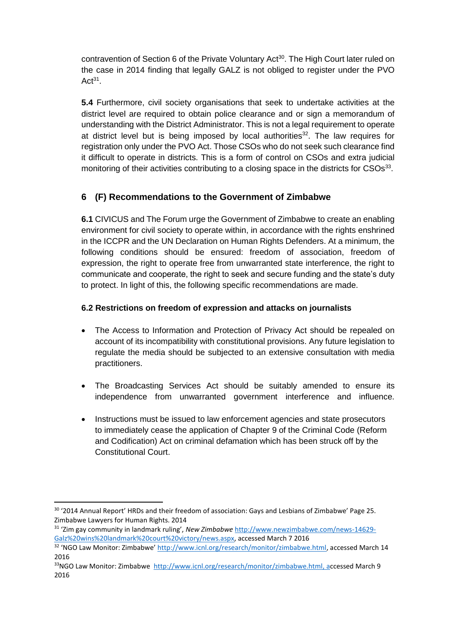contravention of Section 6 of the Private Voluntary Act<sup>30</sup>. The High Court later ruled on the case in 2014 finding that legally GALZ is not obliged to register under the PVO  $Act^{31}$ .

**5.4** Furthermore, civil society organisations that seek to undertake activities at the district level are required to obtain police clearance and or sign a memorandum of understanding with the District Administrator. This is not a legal requirement to operate at district level but is being imposed by local authorities<sup>32</sup>. The law requires for registration only under the PVO Act. Those CSOs who do not seek such clearance find it difficult to operate in districts. This is a form of control on CSOs and extra judicial monitoring of their activities contributing to a closing space in the districts for CSOs<sup>33</sup>.

### **6 (F) Recommendations to the Government of Zimbabwe**

**6.1** CIVICUS and The Forum urge the Government of Zimbabwe to create an enabling environment for civil society to operate within, in accordance with the rights enshrined in the ICCPR and the UN Declaration on Human Rights Defenders. At a minimum, the following conditions should be ensured: freedom of association, freedom of expression, the right to operate free from unwarranted state interference, the right to communicate and cooperate, the right to seek and secure funding and the state's duty to protect. In light of this, the following specific recommendations are made.

#### **6.2 Restrictions on freedom of expression and attacks on journalists**

- The Access to Information and Protection of Privacy Act should be repealed on account of its incompatibility with constitutional provisions. Any future legislation to regulate the media should be subjected to an extensive consultation with media practitioners.
- The Broadcasting Services Act should be suitably amended to ensure its independence from unwarranted government interference and influence.
- Instructions must be issued to law enforcement agencies and state prosecutors to immediately cease the application of Chapter 9 of the Criminal Code (Reform and Codification) Act on criminal defamation which has been struck off by the Constitutional Court.

**.** 

<sup>&</sup>lt;sup>30</sup> '2014 Annual Report' HRDs and their freedom of association: Gays and Lesbians of Zimbabwe' Page 25. Zimbabwe Lawyers for Human Rights. 2014

<sup>31</sup> 'Zim gay community in landmark ruling', *New Zimbabwe* [http://www.newzimbabwe.com/news-14629-](http://www.newzimbabwe.com/news-14629-Galz%20wins%20landmark%20court%20victory/news.aspx) [Galz%20wins%20landmark%20court%20victory/news.aspx,](http://www.newzimbabwe.com/news-14629-Galz%20wins%20landmark%20court%20victory/news.aspx) accessed March 7 2016

<sup>&</sup>lt;sup>32</sup> 'NGO Law Monitor: Zimbabwe' [http://www.icnl.org/research/monitor/zimbabwe.html,](http://www.icnl.org/research/monitor/zimbabwe.html) accessed March 14 2016

<sup>33</sup>NGO Law Monitor: Zimbabwe [http://www.icnl.org/research/monitor/zimbabwe.html,](http://www.icnl.org/research/monitor/zimbabwe.html) accessed March 9 2016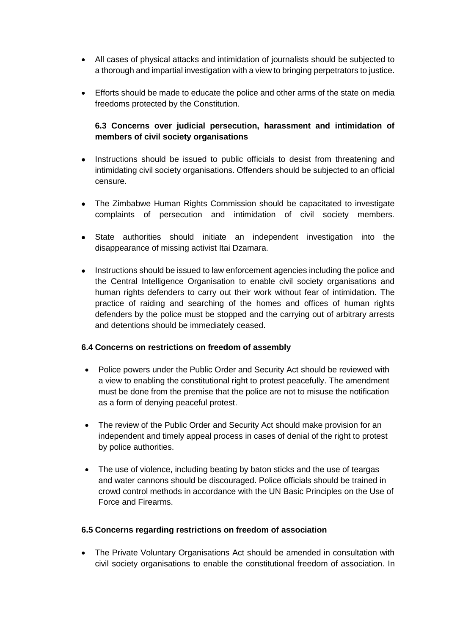- All cases of physical attacks and intimidation of journalists should be subjected to a thorough and impartial investigation with a view to bringing perpetrators to justice.
- Efforts should be made to educate the police and other arms of the state on media freedoms protected by the Constitution.

#### **6.3 Concerns over judicial persecution, harassment and intimidation of members of civil society organisations**

- Instructions should be issued to public officials to desist from threatening and intimidating civil society organisations. Offenders should be subjected to an official censure.
- The Zimbabwe Human Rights Commission should be capacitated to investigate complaints of persecution and intimidation of civil society members.
- State authorities should initiate an independent investigation into the disappearance of missing activist Itai Dzamara.
- Instructions should be issued to law enforcement agencies including the police and the Central Intelligence Organisation to enable civil society organisations and human rights defenders to carry out their work without fear of intimidation. The practice of raiding and searching of the homes and offices of human rights defenders by the police must be stopped and the carrying out of arbitrary arrests and detentions should be immediately ceased.

#### **6.4 Concerns on restrictions on freedom of assembly**

- Police powers under the Public Order and Security Act should be reviewed with a view to enabling the constitutional right to protest peacefully. The amendment must be done from the premise that the police are not to misuse the notification as a form of denying peaceful protest.
- The review of the Public Order and Security Act should make provision for an independent and timely appeal process in cases of denial of the right to protest by police authorities.
- The use of violence, including beating by baton sticks and the use of teargas and water cannons should be discouraged. Police officials should be trained in crowd control methods in accordance with the UN Basic Principles on the Use of Force and Firearms.

#### **6.5 Concerns regarding restrictions on freedom of association**

 The Private Voluntary Organisations Act should be amended in consultation with civil society organisations to enable the constitutional freedom of association. In